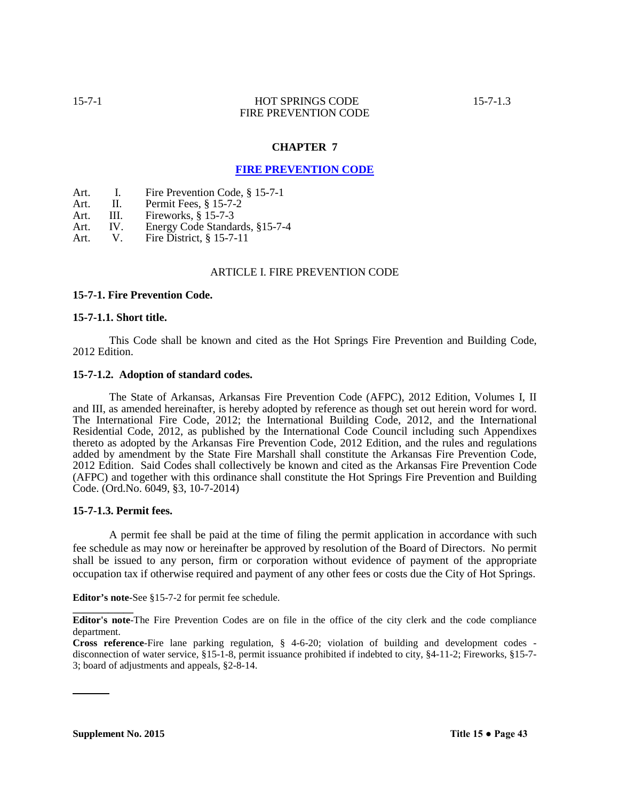# **CHAPTER 7**

# **FIRE PREVENTION CODE**

Art. I. Fire Prevention Code, § 15-7-1

Art. II. Permit Fees, § 15-7-2

Art. III. Fireworks, § 15-7-3<br>Art. IV. Energy Code Standa

Art. IV. Energy Code Standards, §15-7-4<br>Art. V. Fire District, § 15-7-11

Fire District,  $§$  15-7-11

### ARTICLE I. FIRE PREVENTION CODE

#### **15-7-1. Fire Prevention Code.**

#### **15-7-1.1. Short title.**

This Code shall be known and cited as the Hot Springs Fire Prevention and Building Code, 2012 Edition.

#### **15-7-1.2. Adoption of standard codes.**

The State of Arkansas, Arkansas Fire Prevention Code (AFPC), 2012 Edition, Volumes I, II and III, as amended hereinafter, is hereby adopted by reference as though set out herein word for word. The International Fire Code, 2012; the International Building Code, 2012, and the International Residential Code, 2012, as published by the International Code Council including such Appendixes thereto as adopted by the Arkansas Fire Prevention Code, 2012 Edition, and the rules and regulations added by amendment by the State Fire Marshall shall constitute the Arkansas Fire Prevention Code, 2012 Edition. Said Codes shall collectively be known and cited as the Arkansas Fire Prevention Code (AFPC) and together with this ordinance shall constitute the Hot Springs Fire Prevention and Building Code. (Ord.No. 6049, §3, 10-7-2014)

### **15-7-1.3. Permit fees.**

**\_\_\_\_\_\_\_\_\_\_\_\_**

A permit fee shall be paid at the time of filing the permit application in accordance with such fee schedule as may now or hereinafter be approved by resolution of the Board of Directors. No permit shall be issued to any person, firm or corporation without evidence of payment of the appropriate occupation tax if otherwise required and payment of any other fees or costs due the City of Hot Springs.

**Editor's note-**See §15-7-2 for permit fee schedule.

**Editor's note**-The Fire Prevention Codes are on file in the office of the city clerk and the code compliance department.

**Cross reference**-Fire lane parking regulation, § 4-6-20; violation of building and development codes disconnection of water service, §15-1-8, permit issuance prohibited if indebted to city, §4-11-2; Fireworks, §15-7- 3; board of adjustments and appeals, §2-8-14.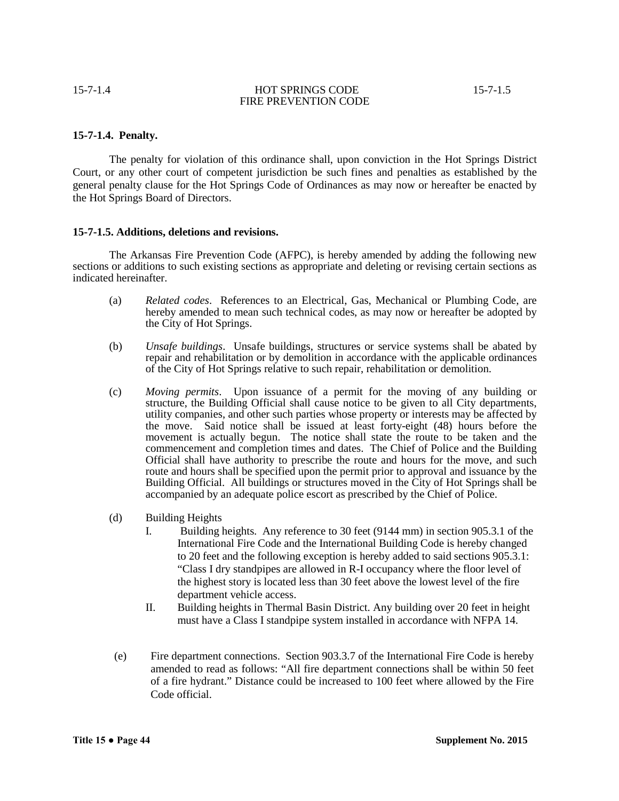## **15-7-1.4. Penalty.**

The penalty for violation of this ordinance shall, upon conviction in the Hot Springs District Court, or any other court of competent jurisdiction be such fines and penalties as established by the general penalty clause for the Hot Springs Code of Ordinances as may now or hereafter be enacted by the Hot Springs Board of Directors.

### **15-7-1.5. Additions, deletions and revisions.**

The Arkansas Fire Prevention Code (AFPC), is hereby amended by adding the following new sections or additions to such existing sections as appropriate and deleting or revising certain sections as indicated hereinafter.

- (a) *Related codes*. References to an Electrical, Gas, Mechanical or Plumbing Code, are hereby amended to mean such technical codes, as may now or hereafter be adopted by the City of Hot Springs.
- (b) *Unsafe buildings*. Unsafe buildings, structures or service systems shall be abated by repair and rehabilitation or by demolition in accordance with the applicable ordinances of the City of Hot Springs relative to such repair, rehabilitation or demolition.
- (c) *Moving permits*. Upon issuance of a permit for the moving of any building or structure, the Building Official shall cause notice to be given to all City departments, utility companies, and other such parties whose property or interests may be affected by the move. Said notice shall be issued at least forty-eight (48) hours before the movement is actually begun. The notice shall state the route to be taken and the commencement and completion times and dates. The Chief of Police and the Building Official shall have authority to prescribe the route and hours for the move, and such route and hours shall be specified upon the permit prior to approval and issuance by the Building Official. All buildings or structures moved in the City of Hot Springs shall be accompanied by an adequate police escort as prescribed by the Chief of Police.
- (d) Building Heights
	- I. Building heights. Any reference to 30 feet (9144 mm) in section 905.3.1 of the International Fire Code and the International Building Code is hereby changed to 20 feet and the following exception is hereby added to said sections 905.3.1: "Class I dry standpipes are allowed in R-I occupancy where the floor level of the highest story is located less than 30 feet above the lowest level of the fire department vehicle access.
	- II. Building heights in Thermal Basin District. Any building over 20 feet in height must have a Class I standpipe system installed in accordance with NFPA 14.
- (e) Fire department connections. Section 903.3.7 of the International Fire Code is hereby amended to read as follows: "All fire department connections shall be within 50 feet of a fire hydrant." Distance could be increased to 100 feet where allowed by the Fire Code official.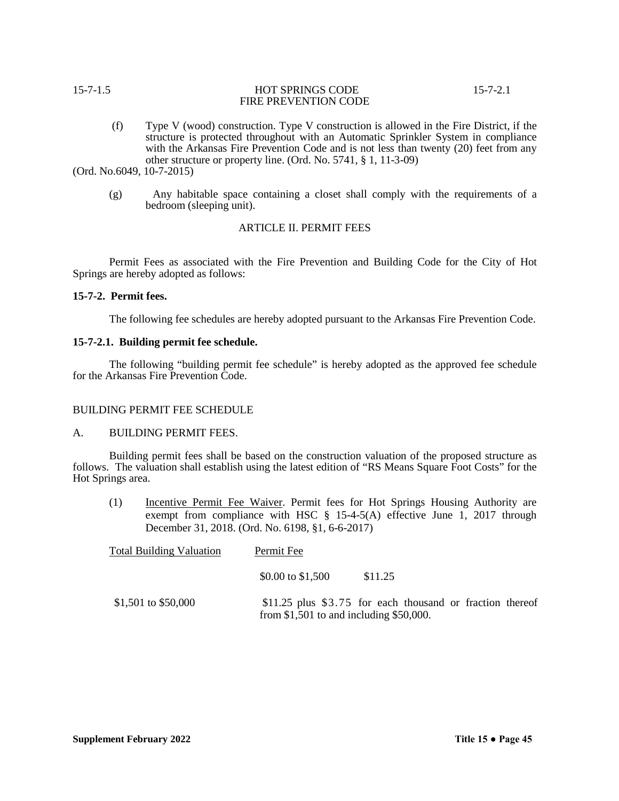## 15-7-1.5 HOT SPRINGS CODE 15-7-2.1 FIRE PREVENTION CODE

(f) Type V (wood) construction. Type V construction is allowed in the Fire District, if the structure is protected throughout with an Automatic Sprinkler System in compliance with the Arkansas Fire Prevention Code and is not less than twenty (20) feet from any other structure or property line. (Ord. No. 5741, § 1, 11-3-09)

(Ord. No.6049, 10-7-2015)

(g) Any habitable space containing a closet shall comply with the requirements of a bedroom (sleeping unit).

# ARTICLE II. PERMIT FEES

Permit Fees as associated with the Fire Prevention and Building Code for the City of Hot Springs are hereby adopted as follows:

## **15-7-2. Permit fees.**

The following fee schedules are hereby adopted pursuant to the Arkansas Fire Prevention Code.

## **15-7-2.1. Building permit fee schedule.**

The following "building permit fee schedule" is hereby adopted as the approved fee schedule for the Arkansas Fire Prevention Code.

#### BUILDING PERMIT FEE SCHEDULE

## A. BUILDING PERMIT FEES.

Building permit fees shall be based on the construction valuation of the proposed structure as follows. The valuation shall establish using the latest edition of "RS Means Square Foot Costs" for the Hot Springs area.

(1) Incentive Permit Fee Waiver. Permit fees for Hot Springs Housing Authority are exempt from compliance with HSC § 15-4-5(A) effective June 1, 2017 through December 31, 2018. (Ord. No. 6198, §1, 6-6-2017)

| <b>Total Building Valuation</b> | Permit Fee                                 |                                                            |  |
|---------------------------------|--------------------------------------------|------------------------------------------------------------|--|
|                                 | \$0.00 to \$1,500                          | \$11.25                                                    |  |
| \$1,501 to \$50,000             | from $$1,501$ to and including $$50,000$ . | \$11.25 plus $$3.75$ for each thousand or fraction thereof |  |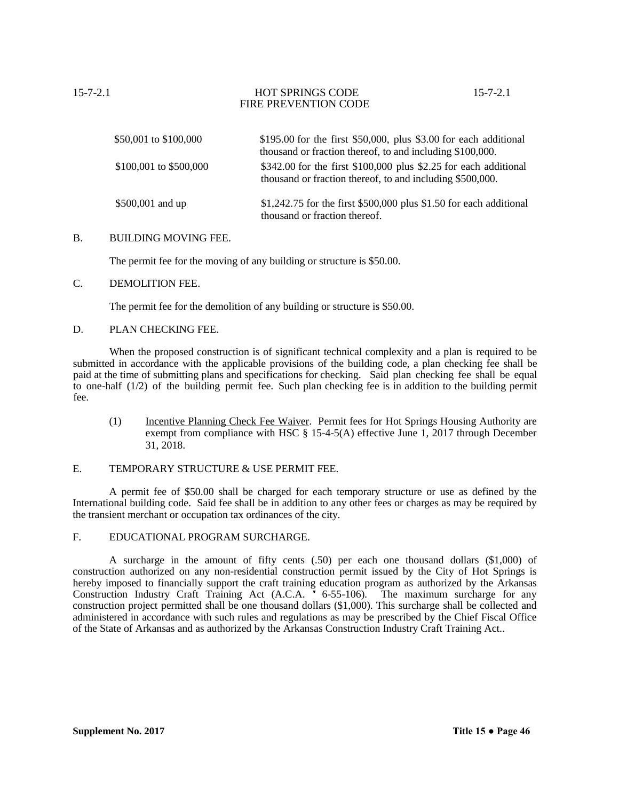| \$50,001 to \$100,000  | $$195.00$ for the first \$50,000, plus \$3.00 for each additional<br>thousand or fraction thereof, to and including \$100,000. |
|------------------------|--------------------------------------------------------------------------------------------------------------------------------|
| \$100,001 to \$500,000 | $$342.00$ for the first \$100,000 plus \$2.25 for each additional<br>thousand or fraction thereof, to and including \$500,000. |
| \$500,001 and up       | $$1,242.75$ for the first \$500,000 plus \$1.50 for each additional<br>thousand or fraction thereof.                           |

### B. BUILDING MOVING FEE.

The permit fee for the moving of any building or structure is \$50.00.

## C. DEMOLITION FEE.

The permit fee for the demolition of any building or structure is \$50.00.

### D. PLAN CHECKING FEE.

When the proposed construction is of significant technical complexity and a plan is required to be submitted in accordance with the applicable provisions of the building code, a plan checking fee shall be paid at the time of submitting plans and specifications for checking. Said plan checking fee shall be equal to one-half (1/2) of the building permit fee. Such plan checking fee is in addition to the building permit fee.

(1) Incentive Planning Check Fee Waiver. Permit fees for Hot Springs Housing Authority are exempt from compliance with HSC § 15-4-5(A) effective June 1, 2017 through December 31, 2018.

## E. TEMPORARY STRUCTURE & USE PERMIT FEE.

A permit fee of \$50.00 shall be charged for each temporary structure or use as defined by the International building code. Said fee shall be in addition to any other fees or charges as may be required by the transient merchant or occupation tax ordinances of the city.

#### F. EDUCATIONAL PROGRAM SURCHARGE.

A surcharge in the amount of fifty cents (.50) per each one thousand dollars (\$1,000) of construction authorized on any non-residential construction permit issued by the City of Hot Springs is hereby imposed to financially support the craft training education program as authorized by the Arkansas Construction Industry Craft Training Act (A.C.A. ' 6-55-106). The maximum surcharge for any construction project permitted shall be one thousand dollars (\$1,000). This surcharge shall be collected and administered in accordance with such rules and regulations as may be prescribed by the Chief Fiscal Office of the State of Arkansas and as authorized by the Arkansas Construction Industry Craft Training Act..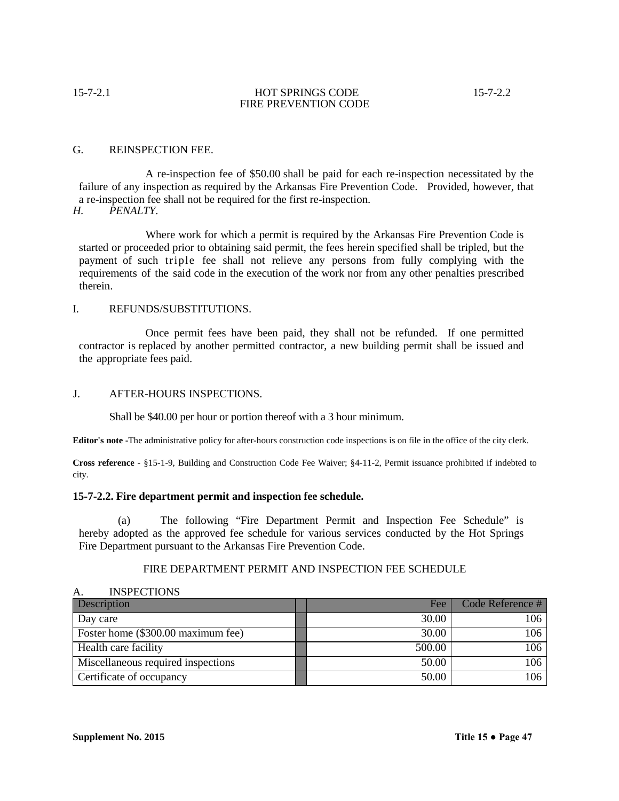## G. REINSPECTION FEE.

A re-inspection fee of \$50.00 shall be paid for each re-inspection necessitated by the failure of any inspection as required by the Arkansas Fire Prevention Code. Provided, however, that a re-inspection fee shall not be required for the first re-inspection.<br>H. PENALTY.

*H. PENALTY.*

Where work for which a permit is required by the Arkansas Fire Prevention Code is started or proceeded prior to obtaining said permit, the fees herein specified shall be tripled, but the payment of such triple fee shall not relieve any persons from fully complying with the requirements of the said code in the execution of the work nor from any other penalties prescribed therein.

## I. REFUNDS/SUBSTITUTIONS.

Once permit fees have been paid, they shall not be refunded. If one permitted contractor is replaced by another permitted contractor, a new building permit shall be issued and the appropriate fees paid.

## J. AFTER-HOURS INSPECTIONS.

Shall be \$40.00 per hour or portion thereof with a 3 hour minimum.

**Editor's note -**The administrative policy for after-hours construction code inspections is on file in the office of the city clerk.

**Cross reference** - §15-1-9, Building and Construction Code Fee Waiver; §4-11-2, Permit issuance prohibited if indebted to city.

## **15-7-2.2. Fire department permit and inspection fee schedule.**

(a) The following "Fire Department Permit and Inspection Fee Schedule" is hereby adopted as the approved fee schedule for various services conducted by the Hot Springs Fire Department pursuant to the Arkansas Fire Prevention Code.

## FIRE DEPARTMENT PERMIT AND INSPECTION FEE SCHEDULE

| $\mathbf{\Gamma}$<br>TIJDI LUTIUIJO |        |                    |  |
|-------------------------------------|--------|--------------------|--|
| <b>Description</b>                  | Fee    | Code Reference $#$ |  |
| Day care                            | 30.00  | 106                |  |
| Foster home (\$300.00 maximum fee)  | 30.00  | 106                |  |
| Health care facility                | 500.00 | 106                |  |
| Miscellaneous required inspections  | 50.00  | 106                |  |
| Certificate of occupancy            | 50.00  | 106                |  |

### A. INSPECTIONS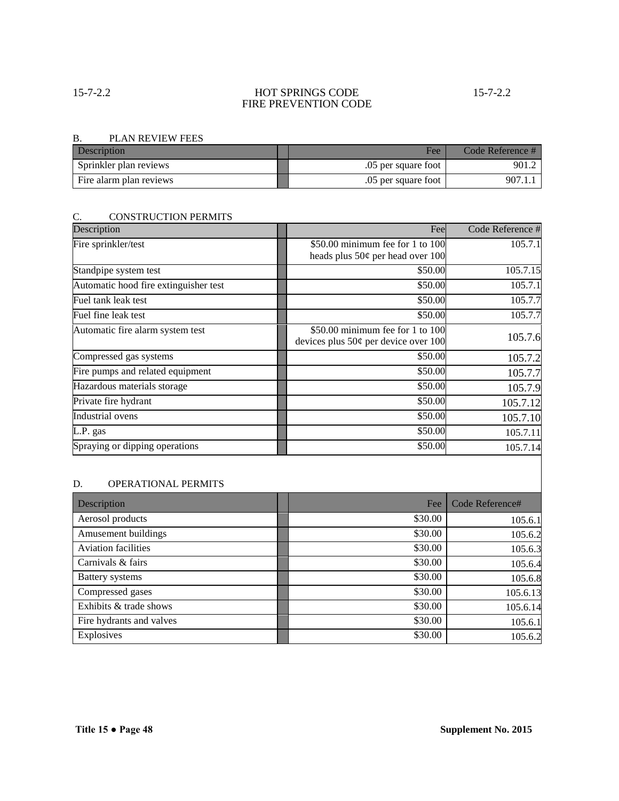# 15-7-2.2 HOT SPRINGS CODE 15-7-2.2 FIRE PREVENTION CODE

### B. PLAN REVIEW FEES

| Description             | Fee                 | Code Reference # |
|-------------------------|---------------------|------------------|
| Sprinkler plan reviews  | .05 per square foot | 901.2            |
| Fire alarm plan reviews | .05 per square foot | 907.1            |

# C. CONSTRUCTION PERMITS

| Description                           | Fee                                    | Code Reference # |
|---------------------------------------|----------------------------------------|------------------|
| Fire sprinkler/test                   | \$50.00 minimum fee for 1 to 100       | 105.7.1          |
|                                       | heads plus $50¢$ per head over 100     |                  |
| Standpipe system test                 | \$50.00                                | 105.7.15         |
| Automatic hood fire extinguisher test | \$50.00                                | 105.7.1          |
| Fuel tank leak test                   | \$50.00                                | 105.7.7          |
| Fuel fine leak test                   | \$50.00                                | 105.7.7          |
| Automatic fire alarm system test      | \$50.00 minimum fee for 1 to 100       | 105.7.6          |
|                                       | devices plus $50¢$ per device over 100 |                  |
| Compressed gas systems                | \$50.00                                | 105.7.2          |
| Fire pumps and related equipment      | \$50.00                                | 105.7.7          |
| Hazardous materials storage           | \$50.00                                | 105.7.9          |
| Private fire hydrant                  | \$50.00                                | 105.7.12         |
| <b>Industrial</b> ovens               | \$50.00                                | 105.7.10         |
| L.P. gas                              | \$50.00                                | 105.7.11         |
| Spraying or dipping operations        | \$50.00                                | 105.7.14         |

# D. OPERATIONAL PERMITS

| Description                | Fee     | Code Reference# |
|----------------------------|---------|-----------------|
| Aerosol products           | \$30.00 | 105.6.1         |
| Amusement buildings        | \$30.00 | 105.6.2         |
| <b>Aviation facilities</b> | \$30.00 | 105.6.3         |
| Carnivals & fairs          | \$30.00 | 105.6.4         |
| <b>Battery</b> systems     | \$30.00 | 105.6.8         |
| Compressed gases           | \$30.00 | 105.6.13        |
| Exhibits & trade shows     | \$30.00 | 105.6.14        |
| Fire hydrants and valves   | \$30.00 | 105.6.1         |
| Explosives                 | \$30.00 | 105.6.2         |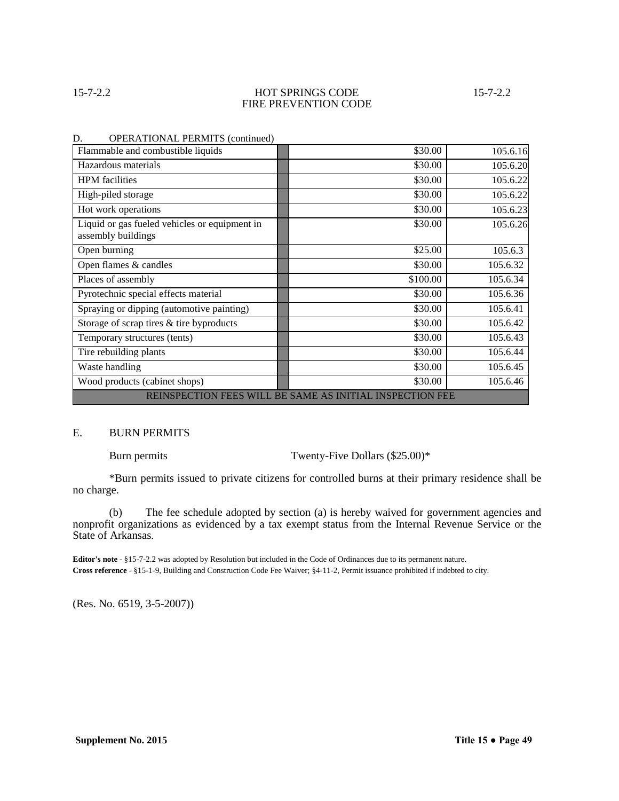## 15-7-2.2 HOT SPRINGS CODE 15-7-2.2 FIRE PREVENTION CODE

| \$30.00                                                  | 105.6.16 |  |  |
|----------------------------------------------------------|----------|--|--|
| \$30.00                                                  | 105.6.20 |  |  |
| \$30.00                                                  | 105.6.22 |  |  |
| \$30.00                                                  | 105.6.22 |  |  |
| \$30.00                                                  | 105.6.23 |  |  |
| \$30.00                                                  | 105.6.26 |  |  |
| \$25.00                                                  | 105.6.3  |  |  |
| \$30.00                                                  | 105.6.32 |  |  |
| \$100.00                                                 | 105.6.34 |  |  |
| \$30.00                                                  | 105.6.36 |  |  |
| \$30.00                                                  | 105.6.41 |  |  |
| \$30.00                                                  | 105.6.42 |  |  |
| \$30.00                                                  | 105.6.43 |  |  |
| \$30.00                                                  | 105.6.44 |  |  |
| \$30.00                                                  | 105.6.45 |  |  |
| \$30.00                                                  | 105.6.46 |  |  |
| REINSPECTION FEES WILL BE SAME AS INITIAL INSPECTION FEE |          |  |  |
|                                                          |          |  |  |

### D. OPERATIONAL PERMITS (continued)

### E. BURN PERMITS

Burn permits Twenty-Five Dollars (\$25.00)\*

\*Burn permits issued to private citizens for controlled burns at their primary residence shall be no charge.

(b) The fee schedule adopted by section (a) is hereby waived for government agencies and nonprofit organizations as evidenced by a tax exempt status from the Internal Revenue Service or the State of Arkansas.

**Editor's note** - §15-7-2.2 was adopted by Resolution but included in the Code of Ordinances due to its permanent nature. **Cross reference** - §15-1-9, Building and Construction Code Fee Waiver; §4-11-2, Permit issuance prohibited if indebted to city.

(Res. No. 6519, 3-5-2007))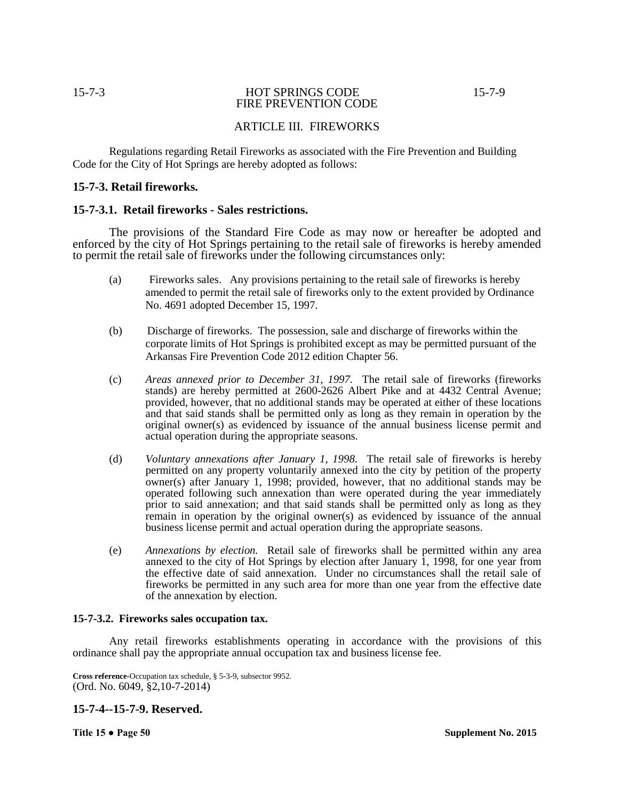## 15-7-3 HOT SPRINGS CODE 15-7-9 FIRE PREVENTION CODE

# ARTICLE III. FIREWORKS

Regulations regarding Retail Fireworks as associated with the Fire Prevention and Building Code for the City of Hot Springs are hereby adopted as follows:

## **15-7-3. Retail fireworks.**

## **15-7-3.1. Retail fireworks - Sales restrictions.**

The provisions of the Standard Fire Code as may now or hereafter be adopted and enforced by the city of Hot Springs pertaining to the retail sale of fireworks is hereby amended to permit the retail sale of fireworks under the following circumstances only:

- (a) Fireworks sales. Any provisions pertaining to the retail sale of fireworks is hereby amended to permit the retail sale of fireworks only to the extent provided by Ordinance No. 4691 adopted December 15, 1997.
- (b) Discharge of fireworks. The possession, sale and discharge of fireworks within the corporate limits of Hot Springs is prohibited except as may be permitted pursuant of the Arkansas Fire Prevention Code 2012 edition Chapter 56.
- (c) *Areas annexed prior to December 31, 1997.* The retail sale of fireworks (fireworks stands) are hereby permitted at 2600-2626 Albert Pike and at 4432 Central Avenue; provided, however, that no additional stands may be operated at either of these locations and that said stands shall be permitted only as long as they remain in operation by the original owner(s) as evidenced by issuance of the annual business license permit and actual operation during the appropriate seasons.
- (d) *Voluntary annexations after January 1, 1998.* The retail sale of fireworks is hereby permitted on any property voluntarily annexed into the city by petition of the property owner(s) after January 1, 1998; provided, however, that no additional stands may be operated following such annexation than were operated during the year immediately prior to said annexation; and that said stands shall be permitted only as long as they remain in operation by the original owner(s) as evidenced by issuance of the annual business license permit and actual operation during the appropriate seasons.
- (e) *Annexations by election.* Retail sale of fireworks shall be permitted within any area annexed to the city of Hot Springs by election after January  $\hat{1}$ , 1998, for one year from the effective date of said annexation. Under no circumstances shall the retail sale of fireworks be permitted in any such area for more than one year from the effective date of the annexation by election.

## **15-7-3.2. Fireworks sales occupation tax.**

Any retail fireworks establishments operating in accordance with the provisions of this ordinance shall pay the appropriate annual occupation tax and business license fee.

## **15-7-4--15-7-9. Reserved.**

**Cross reference-**Occupation tax schedule, § 5-3-9, subsector 9952. (Ord. No. 6049, §2,10-7-2014)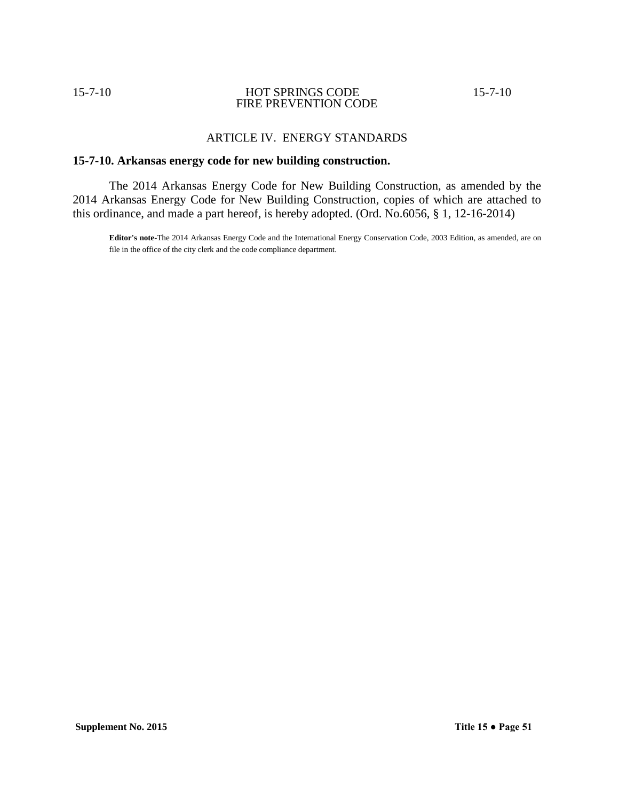## 15-7-10 HOT SPRINGS CODE 15-7-10 FIRE PREVENTION CODE

# ARTICLE IV. ENERGY STANDARDS

## **15-7-10. Arkansas energy code for new building construction.**

The 2014 Arkansas Energy Code for New Building Construction, as amended by the 2014 Arkansas Energy Code for New Building Construction, copies of which are attached to this ordinance, and made a part hereof, is hereby adopted. (Ord. No.6056, § 1, 12-16-2014)

**Editor's note**-The 2014 Arkansas Energy Code and the International Energy Conservation Code, 2003 Edition, as amended, are on file in the office of the city clerk and the code compliance department.